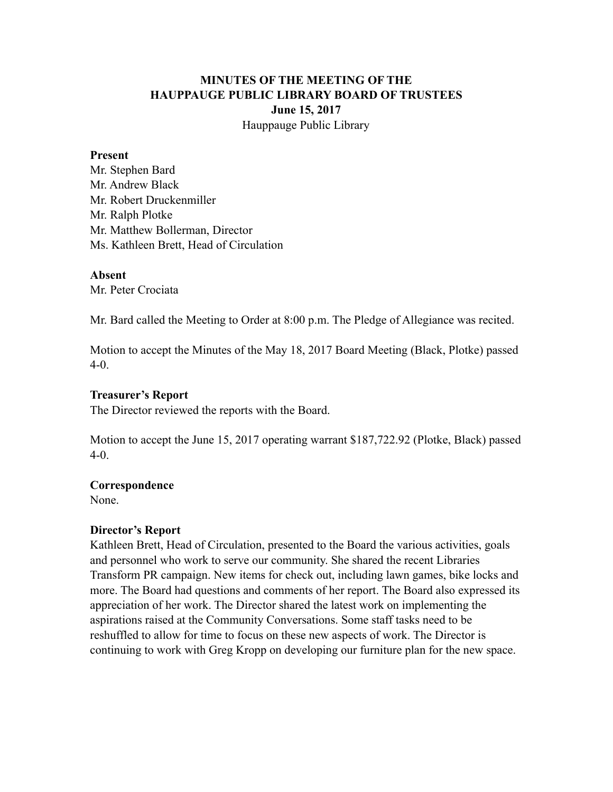# **MINUTES OF THE MEETING OF THE HAUPPAUGE PUBLIC LIBRARY BOARD OF TRUSTEES June 15, 2017** Hauppauge Public Library

#### **Present**

Mr. Stephen Bard Mr. Andrew Black Mr. Robert Druckenmiller Mr. Ralph Plotke Mr. Matthew Bollerman, Director Ms. Kathleen Brett, Head of Circulation

#### **Absent**

Mr. Peter Crociata

Mr. Bard called the Meeting to Order at 8:00 p.m. The Pledge of Allegiance was recited.

Motion to accept the Minutes of the May 18, 2017 Board Meeting (Black, Plotke) passed 4-0.

#### **Treasurer's Report**

The Director reviewed the reports with the Board.

Motion to accept the June 15, 2017 operating warrant \$187,722.92 (Plotke, Black) passed 4-0.

## **Correspondence**

None.

## **Director's Report**

Kathleen Brett, Head of Circulation, presented to the Board the various activities, goals and personnel who work to serve our community. She shared the recent Libraries Transform PR campaign. New items for check out, including lawn games, bike locks and more. The Board had questions and comments of her report. The Board also expressed its appreciation of her work. The Director shared the latest work on implementing the aspirations raised at the Community Conversations. Some staff tasks need to be reshuffled to allow for time to focus on these new aspects of work. The Director is continuing to work with Greg Kropp on developing our furniture plan for the new space.